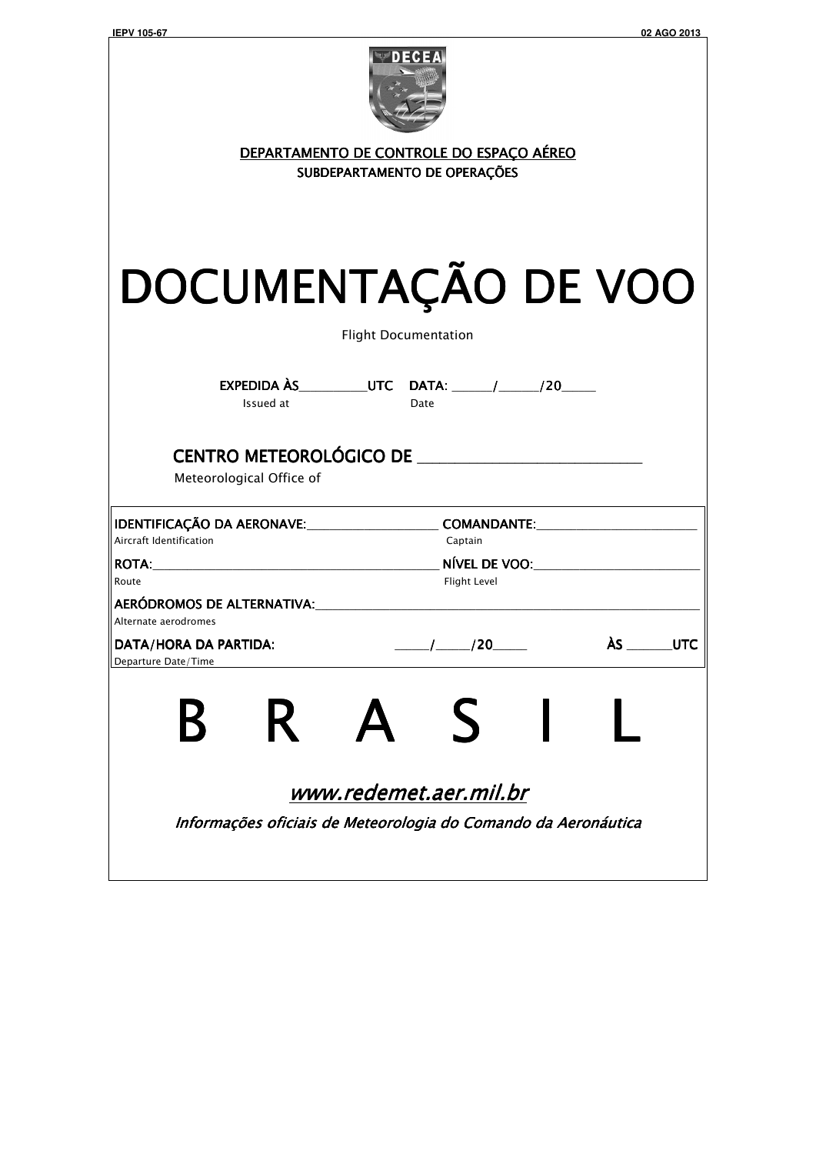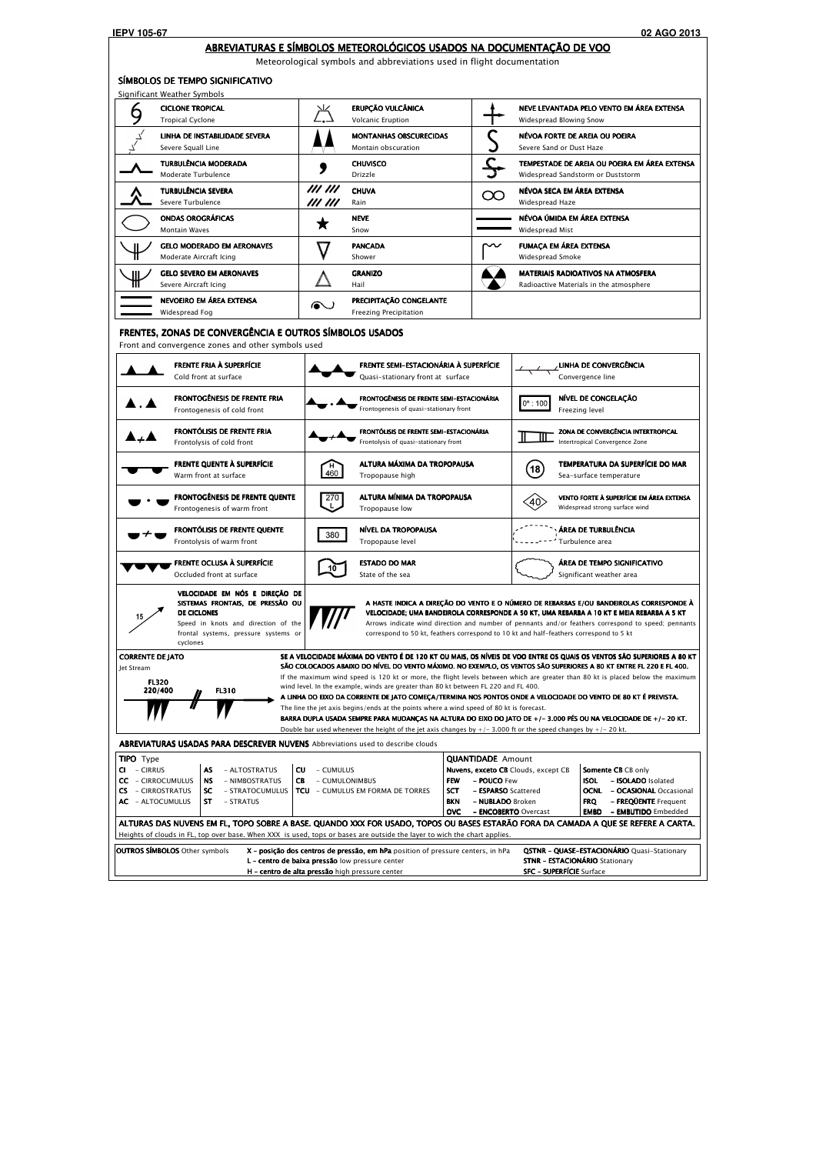## ABREVIATURAS E SÍMBOLOS METEOROLÓGICOS USADOS NA DOCUMENTAÇÃO DE VOO

Meteorological symbols and abbreviations used in flight documentation

|                                     | <b>CICLONE TROPICAL</b><br><b>Tropical Cyclone</b>                                                                                                                                  |                                  | ERUPÇÃO VULCÂNICA<br><b>Volcanic Eruption</b>                                                                                                                                                                                                                                                         |          | Widespread Blowing Snow                                                                                                                                         | NEVE LEVANTADA PELO VENTO EM ÁREA EXTENSA                                                                                                                                                                                                                                                                                                                                                                                                                                                                                                                                                                         |
|-------------------------------------|-------------------------------------------------------------------------------------------------------------------------------------------------------------------------------------|----------------------------------|-------------------------------------------------------------------------------------------------------------------------------------------------------------------------------------------------------------------------------------------------------------------------------------------------------|----------|-----------------------------------------------------------------------------------------------------------------------------------------------------------------|-------------------------------------------------------------------------------------------------------------------------------------------------------------------------------------------------------------------------------------------------------------------------------------------------------------------------------------------------------------------------------------------------------------------------------------------------------------------------------------------------------------------------------------------------------------------------------------------------------------------|
|                                     | LINHA DE INSTABILIDADE SEVERA<br>Severe Squall Line                                                                                                                                 |                                  | <b>MONTANHAS OBSCURECIDAS</b><br>Montain obscuration                                                                                                                                                                                                                                                  |          | Severe Sand or Dust Haze                                                                                                                                        | NÉVOA FORTE DE AREIA OU POEIRA                                                                                                                                                                                                                                                                                                                                                                                                                                                                                                                                                                                    |
|                                     | TURBULÊNCIA MODERADA<br>Moderate Turbulence                                                                                                                                         |                                  | <b>CHUVISCO</b><br>Drizzle                                                                                                                                                                                                                                                                            |          |                                                                                                                                                                 | TEMPESTADE DE AREIA OU POEIRA EM ÁREA EXTENSA<br>Widespread Sandstorm or Duststorm                                                                                                                                                                                                                                                                                                                                                                                                                                                                                                                                |
|                                     | <b>TURBULÊNCIA SEVERA</b><br>Severe Turbulence                                                                                                                                      | <i>III III</i><br><i>III III</i> | <b>CHUVA</b><br>Rain                                                                                                                                                                                                                                                                                  | $\infty$ | NÉVOA SECA EM ÁREA EXTENSA<br>Widespread Haze                                                                                                                   |                                                                                                                                                                                                                                                                                                                                                                                                                                                                                                                                                                                                                   |
|                                     | <b>ONDAS OROGRÁFICAS</b><br><b>Montain Waves</b>                                                                                                                                    |                                  | <b>NEVE</b><br>Snow                                                                                                                                                                                                                                                                                   |          | NÉVOA ÚMIDA EM ÁREA EXTENSA<br>Widespread Mist                                                                                                                  |                                                                                                                                                                                                                                                                                                                                                                                                                                                                                                                                                                                                                   |
|                                     | <b>GELO MODERADO EM AERONAVES</b><br>Moderate Aircraft Icing                                                                                                                        |                                  | <b>PANCADA</b><br>Shower                                                                                                                                                                                                                                                                              |          | <b>FUMAÇA EM ÁREA EXTENSA</b><br>Widespread Smoke                                                                                                               |                                                                                                                                                                                                                                                                                                                                                                                                                                                                                                                                                                                                                   |
|                                     | <b>GELO SEVERO EM AERONAVES</b><br>Severe Aircraft Icing                                                                                                                            |                                  | <b>GRANIZO</b><br>Hail                                                                                                                                                                                                                                                                                |          |                                                                                                                                                                 | <b>MATERIAIS RADIOATIVOS NA ATMOSFERA</b><br>Radioactive Materials in the atmosphere                                                                                                                                                                                                                                                                                                                                                                                                                                                                                                                              |
|                                     | NEVOEIRO EM ÁREA EXTENSA<br>Widespread Fog                                                                                                                                          | ⋒∪                               | PRECIPITAÇÃO CONGELANTE<br><b>Freezing Precipitation</b>                                                                                                                                                                                                                                              |          |                                                                                                                                                                 |                                                                                                                                                                                                                                                                                                                                                                                                                                                                                                                                                                                                                   |
|                                     | FRENTES, ZONAS DE CONVERGÊNCIA E OUTROS SÍMBOLOS USADOS<br>Front and convergence zones and other symbols used                                                                       |                                  |                                                                                                                                                                                                                                                                                                       |          |                                                                                                                                                                 |                                                                                                                                                                                                                                                                                                                                                                                                                                                                                                                                                                                                                   |
|                                     | <b>FRENTE FRIA À SUPERFÍCIE</b><br>Cold front at surface                                                                                                                            |                                  | <b>FRENTE SEMI-ESTACIONÁRIA À SUPERFÍCIE</b><br>Quasi-stationary front at surface                                                                                                                                                                                                                     |          |                                                                                                                                                                 | LINHA DE CONVERGÊNCIA<br>Convergence line                                                                                                                                                                                                                                                                                                                                                                                                                                                                                                                                                                         |
|                                     | <b>FRONTOGÊNESIS DE FRENTE FRIA</b><br>Frontogenesis of cold front                                                                                                                  |                                  | FRONTOGÊNESIS DE FRENTE SEMI-ESTACIONÁRIA<br>Frontogenesis of quasi-stationary front                                                                                                                                                                                                                  |          | $0^{\circ}$ : 100                                                                                                                                               | NÍVEL DE CONGELAÇÃO<br>Freezing level                                                                                                                                                                                                                                                                                                                                                                                                                                                                                                                                                                             |
|                                     | FRONTÓLISIS DE FRENTE FRIA<br>Frontolysis of cold front                                                                                                                             |                                  | FRONTÓLISIS DE FRENTE SEMI-ESTACIONÁRIA<br>Frontolysis of quasi-stationary front                                                                                                                                                                                                                      |          |                                                                                                                                                                 | ZONA DE CONVERGÊNCIA INTERTROPICAL<br>Intertropical Convergence Zone                                                                                                                                                                                                                                                                                                                                                                                                                                                                                                                                              |
|                                     | <b>FRENTE QUENTE À SUPERFÍCIE</b><br>Warm front at surface                                                                                                                          | 460                              | ALTURA MÁXIMA DA TROPOPAUSA<br>Tropopause high                                                                                                                                                                                                                                                        |          | $\left[$ 18 $\right]$                                                                                                                                           | TEMPERATURA DA SUPERFÍCIE DO MAR<br>Sea-surface temperature                                                                                                                                                                                                                                                                                                                                                                                                                                                                                                                                                       |
|                                     | <b>FRONTOGÊNESIS DE FRENTE QUENTE</b><br>Frontogenesis of warm front                                                                                                                | 270<br>رل                        | ALTURA MÍNIMA DA TROPOPAUSA<br>Tropopause low                                                                                                                                                                                                                                                         |          | 〈40〉                                                                                                                                                            | VENTO FORTE À SUPERFÍCIE EM ÁREA EXTENSA<br>Widespread strong surface wind                                                                                                                                                                                                                                                                                                                                                                                                                                                                                                                                        |
|                                     | FRONTÓLISIS DE FRENTE QUENTE<br>Frontolysis of warm front                                                                                                                           | 380                              | NÍVEL DA TROPOPAUSA<br>Tropopause level                                                                                                                                                                                                                                                               |          |                                                                                                                                                                 | ÁREA DE TURBULÊNCIA<br>Turbulence area                                                                                                                                                                                                                                                                                                                                                                                                                                                                                                                                                                            |
|                                     | <b>FRENTE OCLUSA À SUPERFÍCIE</b><br>Occluded front at surface                                                                                                                      |                                  | <b>ESTADO DO MAR</b><br>State of the sea                                                                                                                                                                                                                                                              |          |                                                                                                                                                                 | ÁREA DE TEMPO SIGNIFICATIVO<br>Significant weather area                                                                                                                                                                                                                                                                                                                                                                                                                                                                                                                                                           |
|                                     | VELOCIDADE EM NÓS E DIREÇÃO DE<br>SISTEMAS FRONTAIS, DE PRESSÃO OU<br><b>DE CICLONES</b><br>Speed in knots and direction of the<br>frontal systems, pressure systems or<br>cyclones |                                  | correspond to 50 kt, feathers correspond to 10 kt and half-feathers correspond to 5 kt                                                                                                                                                                                                                |          |                                                                                                                                                                 | A HASTE INDICA A DIREÇÃO DO VENTO E O NÚMERO DE REBARBAS E/OU BANDEIROLAS CORRESPONDE À<br>VELOCIDADE; UMA BANDEIROLA CORRESPONDE A 50 KT, UMA REBARBA A 10 KT E MEIA REBARBA A 5 KT<br>Arrows indicate wind direction and number of pennants and/or feathers correspond to speed; pennants                                                                                                                                                                                                                                                                                                                       |
| Jet Stream                          | <b>CORRENTE DE JATO</b><br><b>FL320</b><br>220/400<br><b>FL310</b>                                                                                                                  |                                  | wind level. In the example, winds are greater than 80 kt between FL 220 and FL 400.<br>The line the jet axis begins/ends at the points where a wind speed of 80 kt is forecast.<br>Double bar used whenever the height of the jet axis changes by $+/- 3.000$ ft or the speed changes by $+/- 20$ kt. |          |                                                                                                                                                                 | SE A VELOCIDADE MÁXIMA DO VENTO É DE 120 KT OU MAIS, OS NÍVEIS DE VOO ENTRE OS QUAIS OS VENTOS SÃO SUPERIORES A 80 KT<br>SÃO COLOCADOS ABAIXO DO NÍVEL DO VENTO MÁXIMO. NO EXEMPLO, OS VENTOS SÃO SUPERIORES A 80 KT ENTRE FL 220 E FL 400.<br>If the maximum wind speed is 120 kt or more, the flight levels between which are greater than 80 kt is placed below the maximum<br>A LINHA DO EIXO DA CORRENTE DE JATO COMEÇA/TERMINA NOS PONTOS ONDE A VELOCIDADE DO VENTO DE 80 KT É PREVISTA.<br>BARRA DUPLA USADA SEMPRE PARA MUDANÇAS NA ALTURA DO EIXO DO JATO DE +/-3.000 PÉS OU NA VELOCIDADE DE +/-20 KT. |
|                                     | <b>ABREVIATURAS USADAS PARA DESCREVER NUVENS</b> Abbreviations used to describe clouds                                                                                              |                                  |                                                                                                                                                                                                                                                                                                       |          |                                                                                                                                                                 |                                                                                                                                                                                                                                                                                                                                                                                                                                                                                                                                                                                                                   |
| <b>TIPO</b> Type<br>- CIRRUS<br>CI. | AS<br>- ALTOSTRATUS<br><b>CC</b> - CIRROCUMULUS<br><b>NS</b><br>- NIMBOSTRATUS<br><b>CS</b> - CIRROSTRATUS<br><b>SC</b><br>- STRATOCUMULUS<br>AC - ALTOCUMULUS<br>ST<br>- STRATUS   | CU<br>CB.                        | - CUMULUS<br>- CUMULONIMBUS<br><b>FEW</b><br><b>TCU</b> - CUMULUS EM FORMA DE TORRES<br>SCT<br><b>BKN</b><br><b>OVC</b>                                                                                                                                                                               |          | <b>QUANTIDADE</b> Amount<br>Nuvens, exceto CB Clouds, except CB<br>- POUCO Few<br>- <b>ESPARSO</b> Scattered<br>- NUBLADO Broken<br>- <b>ENCOBERTO</b> Overcast | Somente CB CB only<br>- ISOLADO Isolated<br>ISOL<br><b>OCNL - OCASIONAL Occasional</b><br>- FREQUENTE Frequent<br><b>FRQ</b><br><b>EMBD</b> - <b>EMBUTIDO</b> Embedded                                                                                                                                                                                                                                                                                                                                                                                                                                            |

| .<br>center<br>.<br>hiah<br>pressure<br>. alta pressao<br>, ae<br>entro: | SFO<br><b>SUPERFICIE</b><br>: Surtac<br>-- |
|--------------------------------------------------------------------------|--------------------------------------------|
|                                                                          |                                            |

**STNR - ESTACIONÁRIO Stationary** 

L - centro de baixa pressão low pressure center